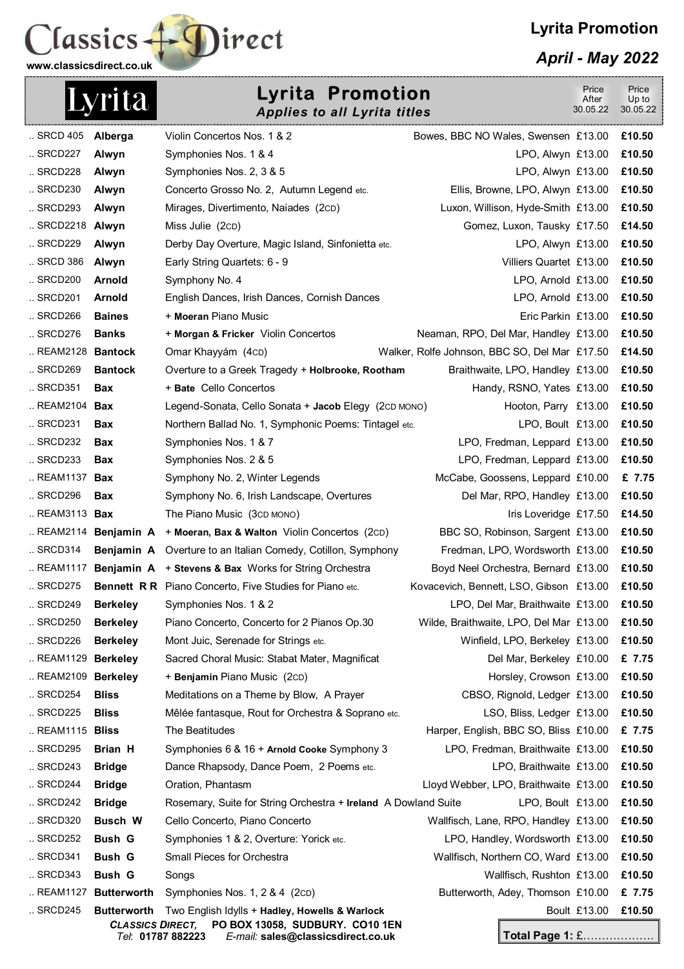



*April - May 2022* 

| <b>Lyrita Promotion</b><br>Lyrita<br><b>Applies to all Lyrita titles</b> |                         |                                                                                                | Price<br>After<br>30.05.22                                         | Price<br>Up to<br>30.05.22 |                  |
|--------------------------------------------------------------------------|-------------------------|------------------------------------------------------------------------------------------------|--------------------------------------------------------------------|----------------------------|------------------|
| SRCD 405                                                                 | Alberga                 | Violin Concertos Nos. 1 & 2                                                                    | Bowes, BBC NO Wales, Swensen £13.00                                |                            | £10.50           |
| SRCD227                                                                  | Alwyn                   | Symphonies Nos. 1 & 4                                                                          | LPO, Alwyn £13.00                                                  |                            | £10.50           |
| SRCD228                                                                  | Alwyn                   | Symphonies Nos. 2, 3 & 5                                                                       | LPO, Alwyn £13.00                                                  |                            | £10.50           |
| SRCD230                                                                  | Alwyn                   | Concerto Grosso No. 2, Autumn Legend etc.                                                      | Ellis, Browne, LPO, Alwyn £13.00                                   |                            | £10.50           |
| SRCD293                                                                  | Alwyn                   | Mirages, Divertimento, Naiades (2cD)                                                           | Luxon, Willison, Hyde-Smith £13.00                                 |                            | £10.50           |
| SRCD2218 Alwyn                                                           |                         | Miss Julie (2CD)                                                                               | Gomez, Luxon, Tausky £17.50                                        |                            | £14.50           |
| SRCD229                                                                  | Alwyn                   | Derby Day Overture, Magic Island, Sinfonietta etc.                                             | LPO, Alwyn £13.00                                                  |                            | £10.50           |
| SRCD 386                                                                 | Alwyn                   | Early String Quartets: 6 - 9                                                                   | Villiers Quartet £13.00                                            |                            | £10.50           |
| $\ldots$ SRCD200                                                         | <b>Arnold</b>           | Symphony No. 4                                                                                 | LPO, Arnold £13.00                                                 |                            | £10.50           |
| SRCD201                                                                  | Arnold                  | English Dances, Irish Dances, Cornish Dances                                                   | LPO, Arnold £13.00                                                 |                            | £10.50           |
| $\ldots$ SRCD266                                                         | <b>Baines</b>           | + Moeran Piano Music                                                                           | Eric Parkin £13.00                                                 |                            | £10.50           |
| $\ldots$ SRCD276                                                         | <b>Banks</b>            | + Morgan & Fricker Violin Concertos                                                            | Neaman, RPO, Del Mar, Handley £13.00                               |                            | £10.50           |
| REAM2128 Bantock                                                         |                         | Omar Khayyám (4cD)                                                                             | Walker, Rolfe Johnson, BBC SO, Del Mar £17.50                      |                            | £14.50           |
| SRCD269                                                                  | <b>Bantock</b>          | Overture to a Greek Tragedy + Holbrooke, Rootham                                               | Braithwaite, LPO, Handley £13.00                                   |                            | £10.50           |
| SRCD351                                                                  | <b>Bax</b>              | + Bate Cello Concertos                                                                         | Handy, RSNO, Yates £13.00                                          |                            | £10.50           |
| REAM2104 Bax                                                             |                         | Legend-Sonata, Cello Sonata + Jacob Elegy (2CD MONO)                                           | Hooton, Parry £13.00                                               |                            | £10.50           |
| SRCD231                                                                  | <b>Bax</b>              | Northern Ballad No. 1, Symphonic Poems: Tintagel etc.                                          | LPO, Boult £13.00                                                  |                            | £10.50           |
| SRCD232                                                                  | <b>Bax</b>              | Symphonies Nos. 1 & 7                                                                          | LPO, Fredman, Leppard £13.00                                       |                            | £10.50           |
| SRCD233                                                                  | <b>Bax</b>              | Symphonies Nos. 2 & 5                                                                          | LPO, Fredman, Leppard £13.00                                       |                            | £10.50           |
| REAM1137                                                                 | <b>Bax</b>              | Symphony No. 2, Winter Legends                                                                 | McCabe, Goossens, Leppard £10.00                                   |                            | £ 7.75           |
| $.$ SRCD296                                                              | <b>Bax</b>              | Symphony No. 6, Irish Landscape, Overtures                                                     | Del Mar, RPO, Handley £13.00                                       |                            | £10.50           |
| REAM3113 <b>Bax</b>                                                      |                         | The Piano Music (3cD MONO)                                                                     | Iris Loveridge £17.50                                              |                            | £14.50           |
|                                                                          |                         | REAM2114 Benjamin $A + M$ oeran, Bax & Walton Violin Concertos (2CD)                           | BBC SO, Robinson, Sargent £13.00                                   |                            | £10.50           |
| $\ldots$ SRCD314                                                         |                         | <b>Benjamin A</b> Overture to an Italian Comedy, Cotillon, Symphony                            | Fredman, LPO, Wordsworth £13.00                                    |                            | £10.50           |
| REAM1117                                                                 |                         | <b>Benjamin A</b> + Stevens & Bax Works for String Orchestra                                   | Boyd Neel Orchestra, Bernard £13.00                                |                            | £10.50           |
| SRCD275                                                                  |                         | <b>Bennett R R</b> Piano Concerto, Five Studies for Piano etc.                                 | Kovacevich, Bennett, LSO, Gibson £13.00                            |                            | £10.50           |
| SRCD249                                                                  | <b>Berkeley</b>         | Symphonies Nos. 1 & 2                                                                          | LPO, Del Mar, Braithwaite £13.00                                   |                            | £10.50           |
| $.$ SRCD250                                                              | <b>Berkeley</b>         | Piano Concerto, Concerto for 2 Pianos Op.30                                                    | Wilde, Braithwaite, LPO, Del Mar £13.00                            |                            | £10.50           |
| SRCD226                                                                  | <b>Berkeley</b>         | Mont Juic, Serenade for Strings etc.                                                           | Winfield, LPO, Berkeley £13.00                                     |                            | £10.50           |
| REAM1129                                                                 | <b>Berkeley</b>         | Sacred Choral Music: Stabat Mater, Magnificat                                                  | Del Mar, Berkeley £10.00                                           |                            | £ 7.75           |
| REAM2109 Berkeley<br>SRCD254                                             | <b>Bliss</b>            | + Benjamin Piano Music (2cD)                                                                   | Horsley, Crowson £13.00                                            |                            | £10.50<br>£10.50 |
| SRCD225                                                                  | <b>Bliss</b>            | Meditations on a Theme by Blow, A Prayer<br>Mêlée fantasque, Rout for Orchestra & Soprano etc. | CBSO, Rignold, Ledger £13.00                                       |                            | £10.50           |
| REAM1115 <b>Bliss</b>                                                    |                         | The Beatitudes                                                                                 | LSO, Bliss, Ledger £13.00<br>Harper, English, BBC SO, Bliss £10.00 |                            | £ 7.75           |
| SRCD295                                                                  | <b>Brian H</b>          | Symphonies 6 & 16 + Arnold Cooke Symphony 3                                                    | LPO, Fredman, Braithwaite £13.00                                   |                            | £10.50           |
| SRCD243                                                                  | <b>Bridge</b>           | Dance Rhapsody, Dance Poem, 2 Poems etc.                                                       | LPO, Braithwaite £13.00                                            |                            | £10.50           |
| SRCD244                                                                  | <b>Bridge</b>           | Oration, Phantasm                                                                              | Lloyd Webber, LPO, Braithwaite £13.00                              |                            | £10.50           |
| SRCD242                                                                  | <b>Bridge</b>           | Rosemary, Suite for String Orchestra + Ireland A Dowland Suite                                 | LPO, Boult £13.00                                                  |                            | £10.50           |
| SRCD320                                                                  | <b>Busch W</b>          | Cello Concerto, Piano Concerto                                                                 | Wallfisch, Lane, RPO, Handley £13.00                               |                            | £10.50           |
| SRCD252                                                                  | <b>Bush G</b>           | Symphonies 1 & 2, Overture: Yorick etc.                                                        | LPO, Handley, Wordsworth £13.00                                    |                            | £10.50           |
| SRCD341                                                                  | <b>Bush G</b>           | Small Pieces for Orchestra                                                                     | Wallfisch, Northern CO, Ward £13.00                                |                            | £10.50           |
| SRCD343                                                                  | <b>Bush G</b>           | Songs                                                                                          | Wallfisch, Rushton £13.00                                          |                            | £10.50           |
|                                                                          | REAM1127 Butterworth    | Symphonies Nos. 1, 2 & 4 (2cD)                                                                 | Butterworth, Adey, Thomson £10.00                                  |                            | £ 7.75           |
| SRCD245                                                                  | <b>Butterworth</b>      | Two English Idylls + Hadley, Howells & Warlock                                                 |                                                                    | Boult £13.00               | £10.50           |
|                                                                          | <b>CLASSICS DIRECT,</b> | PO BOX 13058, SUDBURY. CO10 1EN<br>E-mail: sales@classicsdirect.co.uk<br>Tel: 01787 882223     | <b>Total Page 1: £</b>                                             |                            |                  |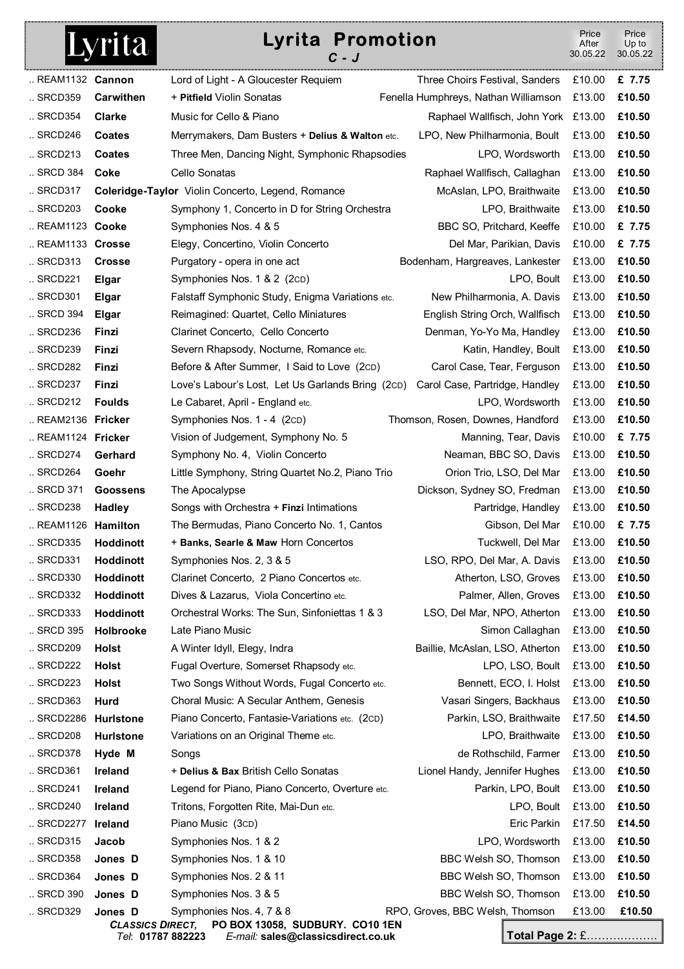## Lyrita

## **Lyrita Promotion**

*C - J* Price **After** 30.05.22 Price Up to 30.05.22 .. REAM1132 **Cannon** Lord of Light - A Gloucester Requiem Three Choirs Festival, Sanders £10.00 **£ 7.75**  .. SRCD359 **Carwithen** + **Pitfield** Violin Sonatas Fenella Humphreys, Nathan Williamson £13.00 **£10.50**  .. SRCD354 **Clarke** Music for Cello & Piano Raphael Wallfisch, John York £13.00 **£10.50**  .. SRCD246 **Coates** Merrymakers, Dam Busters + **Delius & Walton** etc. LPO, New Philharmonia, Boult £13.00 **£10.50**  .. SRCD213 **Coates** Three Men, Dancing Night, Symphonic Rhapsodies LPO, Wordsworth £13.00 **£10.50**  .. SRCD 384 **Coke** Cello Sonatas Raphael Wallfisch, Callaghan £13.00 **£10.50**  .. SRCD317 **Coleridge-Taylor** Violin Concerto, Legend, Romance McAslan, LPO, Braithwaite £13.00 **£10.50**  .. SRCD203 **Cooke** Symphony 1, Concerto in D for String Orchestra LPO, Braithwaite £13.00 **£10.50**  .. REAM1123 **Cooke** Symphonies Nos. 4 & 5 BBC SO, Pritchard, Keeffe £10.00 **£ 7.75**  .. REAM1133 **Crosse** Elegy, Concertino, Violin Concerto Del Mar, Parikian, Davis £10.00 **£ 7.75**  .. SRCD313 **Crosse** Purgatory - opera in one act Bodenham, Hargreaves, Lankester £13.00 **£10.50**  .. SRCD221 **Elgar** Symphonies Nos. 1 & 2 (2CD) LPO, Boult £13.00 **£10.50** 

**Total Page 2:** £………………. *CLASSICS DIRECT,* **PO BOX 13058, SUDBURY. CO10 1EN**  *Tel*: **01787 882223** *E-mail:* **sales@classicsdirect.co.uk** .. SRCD301 **Elgar** Falstaff Symphonic Study, Enigma Variations etc. New Philharmonia, A. Davis £13.00 **£10.50**  .. SRCD 394 **Elgar** Reimagined: Quartet, Cello Miniatures English String Orch, Wallfisch £13.00 **£10.50**  .. SRCD236 **Finzi** Clarinet Concerto, Cello Concerto Denman, Yo-Yo Ma, Handley £13.00 **£10.50**  .. SRCD239 **Finzi** Severn Rhapsody, Nocturne, Romance etc. Katin, Handley, Boult £13.00 **£10.50**  .. SRCD282 **Finzi** Before & After Summer, I Said to Love (2CD) Carol Case, Tear, Ferguson £13.00 **£10.50**  .. SRCD237 **Finzi** Love's Labour's Lost, Let Us Garlands Bring (2CD) Carol Case, Partridge, Handley £13.00 **£10.50**  .. SRCD212 **Foulds** Le Cabaret, April - England etc. LPO, Wordsworth £13.00 **£10.50**  .. REAM2136 **Fricker** Symphonies Nos. 1 - 4 (2CD) Thomson, Rosen, Downes, Handford £13.00 **£10.50**  .. REAM1124 **Fricker** Vision of Judgement, Symphony No. 5 Manning, Tear, Davis £10.00 **£ 7.75**  .. SRCD274 **Gerhard** Symphony No. 4, Violin Concerto Neaman, BBC SO, Davis £13.00 **£10.50** .. SRCD264 **Goehr** Little Symphony, String Quartet No.2, Piano Trio Orion Trio, LSO, Del Mar £13.00 **£10.50**  .. SRCD 371 **Goossens** The Apocalypse **Dickson, Sydney SO, Fredman** £13.00 **£10.50 £10.50** .. SRCD238 **Hadley** Songs with Orchestra + **Finzi** Intimations Partridge, Handley £13.00 **£10.50**  .. REAM1126 **Hamilton** The Bermudas, Piano Concerto No. 1, Cantos Gibson, Del Mar £10.00 **£ 7.75** .. SRCD335 **Hoddinott** + **Banks, Searle & Maw** Horn Concertos Tuckwell, Del Mar £13.00 **£10.50**  .. SRCD331 **Hoddinott** Symphonies Nos. 2, 3 & 5 LSO, RPO, Del Mar, A. Davis £13.00 **£10.50**  .. SRCD330 **Hoddinott** Clarinet Concerto, 2 Piano Concertos etc. Atherton, LSO, Groves £13.00 **£10.50**  .. SRCD332 **Hoddinott** Dives & Lazarus, Viola Concertino etc. Palmer, Allen, Groves £13.00 **£10.50**  .. SRCD333 **Hoddinott** Orchestral Works: The Sun, Sinfoniettas 1 & 3 LSO, Del Mar, NPO, Atherton £13.00 **£10.50**  .. SRCD209 **Holst** A Winter Idyll, Elegy, Indra Baillie, McAslan, LSO, Atherton £13.00 **£10.50**  .. SRCD222 **Holst** Fugal Overture, Somerset Rhapsody etc. LPO, LSO, Boult £13.00 **£10.50**  .. SRCD223 **Holst** Two Songs Without Words, Fugal Concerto etc. Bennett, ECO, I. Holst £13.00 **£10.50**  .. SRCD363 **Hurd** Choral Music: A Secular Anthem, Genesis Vasari Singers, Backhaus £13.00 **£10.50**  .. SRCD2286 **Hurlstone** Piano Concerto, Fantasie-Variations etc. (2CD) Parkin, LSO, Braithwaite £17.50 **£14.50**  .. SRCD208 **Hurlstone** Variations on an Original Theme etc. LPO, Braithwaite £13.00 **£10.50**  .. SRCD378 **Hyde M** Songs de Rothschild, Farmer £13.00 **£10.50**  .. SRCD361 **Ireland** + **Delius & Bax** British Cello Sonatas Lionel Handy, Jennifer Hughes £13.00 **£10.50**  .. SRCD241 **Ireland** Legend for Piano, Piano Concerto, Overture etc. Parkin, LPO, Boult £13.00 **£10.50**  .. SRCD240 **Ireland** Tritons, Forgotten Rite, Mai-Dun etc. LPO, Boult £13.00 **£10.50**  .. SRCD2277 **Ireland** Piano Music (3cD) Entertainment Controller entertainment Controller E17.50 **£14.50** .. SRCD315 **Jacob** Symphonies Nos. 1 & 2 LPO, Wordsworth £13.00 **£10.50**  .. SRCD358 **Jones D** Symphonies Nos. 1 & 10 BBC Welsh SO, Thomson £13.00 **£10.50**  .. SRCD364 **Jones D** Symphonies Nos. 2 & 11 BBC Welsh SO, Thomson £13.00 **£10.50**  .. SRCD 390 **Jones D** Symphonies Nos. 3 & 5 BBC Welsh SO, Thomson £13.00 **£10.50** .. SRCD329 **Jones D** Symphonies Nos. 4, 7 & 8 RPO, Groves, BBC Welsh, Thomson £13.00 **£10.50**  .. SRCD 395 **Holbrooke** Late Piano Music Simon Callaghan £13.00 **£10.50**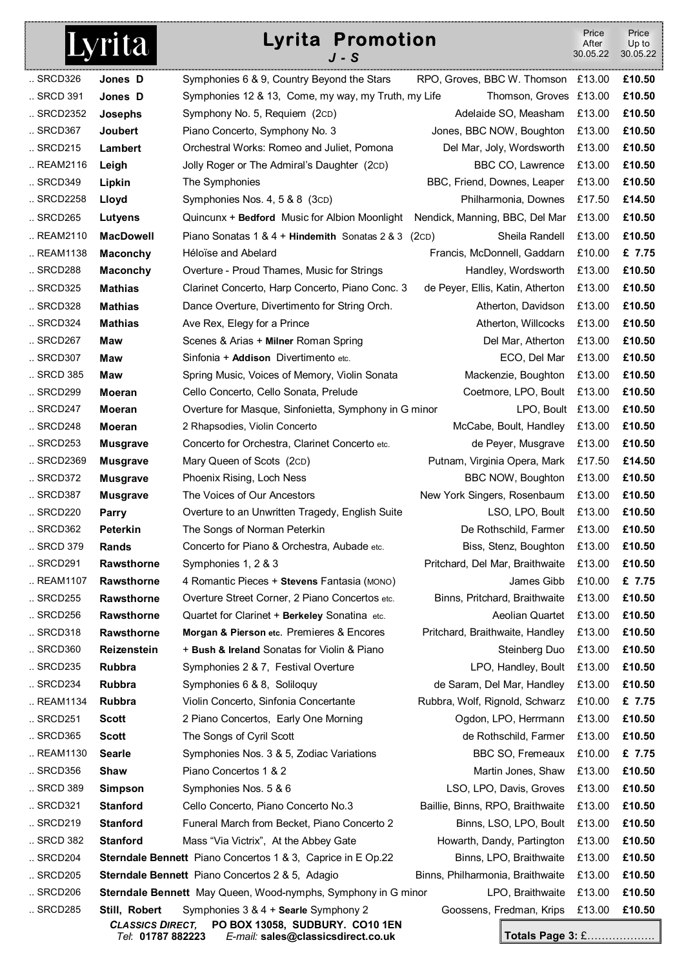| <b>Lyrita Promotion</b><br>Lyrita<br>J - S |                                              |                                                                       | Price<br>After<br>30.05.22         | Price<br>Up to<br>30.05.22 |        |
|--------------------------------------------|----------------------------------------------|-----------------------------------------------------------------------|------------------------------------|----------------------------|--------|
| SRCD326                                    | Jones D                                      | Symphonies 6 & 9, Country Beyond the Stars                            | RPO, Groves, BBC W. Thomson £13.00 |                            | £10.50 |
| SRCD 391                                   | Jones D                                      | Symphonies 12 & 13, Come, my way, my Truth, my Life                   | Thomson, Groves £13.00             |                            | £10.50 |
| SRCD2352                                   | Josephs                                      | Symphony No. 5, Requiem (2cD)                                         | Adelaide SO, Measham               | £13.00                     | £10.50 |
| SRCD367                                    | <b>Joubert</b>                               | Piano Concerto, Symphony No. 3                                        | Jones, BBC NOW, Boughton           | £13.00                     | £10.50 |
| $\ldots$ SRCD215                           | Lambert                                      | Orchestral Works: Romeo and Juliet, Pomona                            | Del Mar, Joly, Wordsworth          | £13.00                     | £10.50 |
| REAM2116                                   | Leigh                                        | Jolly Roger or The Admiral's Daughter (2cD)                           | BBC CO, Lawrence                   | £13.00                     | £10.50 |
| SRCD349                                    | Lipkin                                       | The Symphonies                                                        | BBC, Friend, Downes, Leaper        | £13.00                     | £10.50 |
| SRCD2258                                   | Lloyd                                        | Symphonies Nos. 4, 5 & 8 (3cD)                                        | Philharmonia, Downes               | £17.50                     | £14.50 |
| SRCD265                                    | Lutyens                                      | Quincunx + Bedford Music for Albion Moonlight                         | Nendick, Manning, BBC, Del Mar     | £13.00                     | £10.50 |
| REAM2110                                   | <b>MacDowell</b>                             | Piano Sonatas 1 & 4 + Hindemith Sonatas 2 & 3                         | Sheila Randell<br>(2CD)            | £13.00                     | £10.50 |
| REAM1138                                   | <b>Maconchy</b>                              | Héloïse and Abelard                                                   | Francis, McDonnell, Gaddarn        | £10.00                     | £ 7.75 |
| SRCD288                                    | <b>Maconchy</b>                              | Overture - Proud Thames, Music for Strings                            | Handley, Wordsworth                | £13.00                     | £10.50 |
| SRCD325                                    | <b>Mathias</b>                               | Clarinet Concerto, Harp Concerto, Piano Conc. 3                       | de Peyer, Ellis, Katin, Atherton   | £13.00                     | £10.50 |
| SRCD328                                    | <b>Mathias</b>                               | Dance Overture, Divertimento for String Orch.                         | Atherton, Davidson                 | £13.00                     | £10.50 |
| SRCD324                                    | <b>Mathias</b>                               | Ave Rex, Elegy for a Prince                                           | Atherton, Willcocks                | £13.00                     | £10.50 |
| $\ldots$ SRCD267                           | <b>Maw</b>                                   | Scenes & Arias + Milner Roman Spring                                  | Del Mar, Atherton                  | £13.00                     | £10.50 |
| SRCD307                                    | Maw                                          | Sinfonia + Addison Divertimento etc.                                  | ECO, Del Mar                       | £13.00                     | £10.50 |
| SRCD 385                                   | Maw                                          | Spring Music, Voices of Memory, Violin Sonata                         | Mackenzie, Boughton                | £13.00                     | £10.50 |
| SRCD299                                    | Moeran                                       | Cello Concerto, Cello Sonata, Prelude                                 | Coetmore, LPO, Boult               | £13.00                     | £10.50 |
| $\ldots$ SRCD247                           | <b>Moeran</b>                                | Overture for Masque, Sinfonietta, Symphony in G minor                 | LPO, Boult                         | £13.00                     | £10.50 |
| SRCD248                                    | <b>Moeran</b>                                | 2 Rhapsodies, Violin Concerto                                         | McCabe, Boult, Handley             | £13.00                     | £10.50 |
| $\ldots$ SRCD253                           | <b>Musgrave</b>                              | Concerto for Orchestra, Clarinet Concerto etc.                        | de Peyer, Musgrave                 | £13.00                     | £10.50 |
| SRCD2369                                   | <b>Musgrave</b>                              | Mary Queen of Scots (2cD)                                             | Putnam, Virginia Opera, Mark       | £17.50                     | £14.50 |
| $\ldots$ SRCD372                           | <b>Musgrave</b>                              | Phoenix Rising, Loch Ness                                             | BBC NOW, Boughton                  | £13.00                     | £10.50 |
| SRCD387                                    | <b>Musgrave</b>                              | The Voices of Our Ancestors                                           | New York Singers, Rosenbaum        | £13.00                     | £10.50 |
| $\ldots$ SRCD220                           | Parry                                        | Overture to an Unwritten Tragedy, English Suite                       | LSO, LPO, Boult                    | £13.00                     | £10.50 |
| SRCD362                                    | <b>Peterkin</b>                              | The Songs of Norman Peterkin                                          | De Rothschild, Farmer              | £13.00                     | £10.50 |
| SRCD 379                                   | <b>Rands</b>                                 | Concerto for Piano & Orchestra, Aubade etc.                           | Biss, Stenz, Boughton              | £13.00                     | £10.50 |
| SRCD291                                    | <b>Rawsthorne</b>                            | Symphonies 1, 2 & 3                                                   | Pritchard, Del Mar, Braithwaite    | £13.00                     | £10.50 |
| REAM1107                                   | Rawsthorne                                   | 4 Romantic Pieces + Stevens Fantasia (MONO)                           | James Gibb                         | £10.00                     | £ 7.75 |
| SRCD255                                    | Rawsthorne                                   | Overture Street Corner, 2 Piano Concertos etc.                        | Binns, Pritchard, Braithwaite      | £13.00                     | £10.50 |
| $.$ SRCD256                                | Rawsthorne                                   | Quartet for Clarinet + Berkeley Sonatina etc.                         | Aeolian Quartet                    | £13.00                     | £10.50 |
| SRCD318                                    | Rawsthorne                                   | Morgan & Pierson etc. Premieres & Encores                             | Pritchard, Braithwaite, Handley    | £13.00                     | £10.50 |
| SRCD360                                    | <b>Reizenstein</b>                           | + Bush & Ireland Sonatas for Violin & Piano                           | Steinberg Duo                      | £13.00                     | £10.50 |
| SRCD235                                    | <b>Rubbra</b>                                | Symphonies 2 & 7, Festival Overture                                   | LPO, Handley, Boult                | £13.00                     | £10.50 |
| SRCD234                                    | Rubbra                                       | Symphonies 6 & 8, Soliloguy                                           | de Saram, Del Mar, Handley         | £13.00                     | £10.50 |
| REAM1134                                   | Rubbra                                       | Violin Concerto, Sinfonia Concertante                                 | Rubbra, Wolf, Rignold, Schwarz     | £10.00                     | £ 7.75 |
| $.$ SRCD251                                | <b>Scott</b>                                 | 2 Piano Concertos, Early One Morning                                  | Ogdon, LPO, Herrmann               | £13.00                     | £10.50 |
| SRCD365                                    | <b>Scott</b>                                 | The Songs of Cyril Scott                                              | de Rothschild, Farmer              | £13.00                     | £10.50 |
| REAM1130                                   | <b>Searle</b>                                | Symphonies Nos. 3 & 5, Zodiac Variations                              | BBC SO, Fremeaux                   | £10.00                     | £ 7.75 |
| SRCD356                                    | Shaw                                         | Piano Concertos 1 & 2                                                 | Martin Jones, Shaw                 | £13.00                     | £10.50 |
| SRCD 389                                   | <b>Simpson</b>                               | Symphonies Nos. 5 & 6                                                 | LSO, LPO, Davis, Groves            | £13.00                     | £10.50 |
| SRCD321                                    | <b>Stanford</b>                              | Cello Concerto, Piano Concerto No.3                                   | Baillie, Binns, RPO, Braithwaite   | £13.00                     | £10.50 |
| SRCD219                                    | <b>Stanford</b>                              | Funeral March from Becket, Piano Concerto 2                           | Binns, LSO, LPO, Boult             | £13.00                     | £10.50 |
| SRCD 382                                   | <b>Stanford</b>                              | Mass "Via Victrix", At the Abbey Gate                                 | Howarth, Dandy, Partington         | £13.00                     | £10.50 |
| SRCD204                                    |                                              | <b>Sterndale Bennett</b> Piano Concertos 1 & 3, Caprice in E Op.22    | Binns, LPO, Braithwaite            | £13.00                     | £10.50 |
| SRCD205                                    |                                              | <b>Sterndale Bennett</b> Piano Concertos 2 & 5, Adagio                | Binns, Philharmonia, Braithwaite   | £13.00                     | £10.50 |
| $.$ SRCD206                                |                                              | Sterndale Bennett May Queen, Wood-nymphs, Symphony in G minor         | LPO, Braithwaite                   | £13.00                     | £10.50 |
| SRCD285                                    | Still, Robert                                | Symphonies 3 & 4 + Searle Symphony 2                                  | Goossens, Fredman, Krips           | £13.00                     | £10.50 |
|                                            | <b>CLASSICS DIRECT,</b><br>Tel: 01787 882223 | PO BOX 13058, SUDBURY. CO10 1EN<br>E-mail: sales@classicsdirect.co.uk | Totals Page 3: £                   |                            | .      |